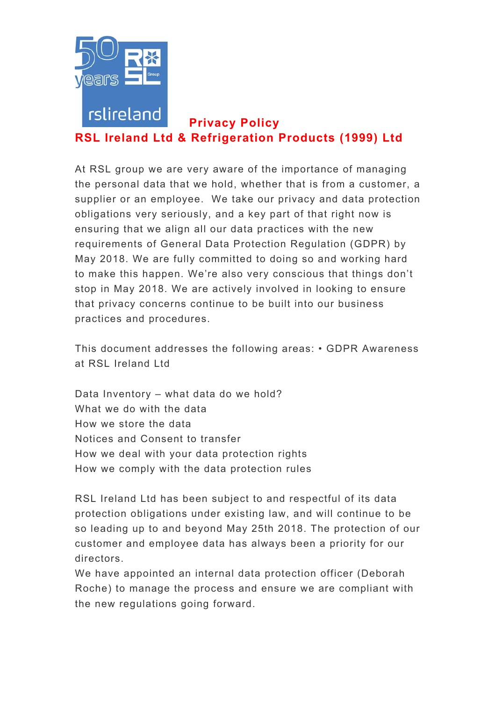

# **Privacy Policy RSL Ireland Ltd & Refrigeration Products (1999) Ltd**

At RSL group we are very aware of the importance of managing the personal data that we hold, whether that is from a customer, a supplier or an employee. We take our privacy and data protection obligations very seriously, and a key part of that right now is ensuring that we align all our data practices with the new requirements of General Data Protection Regulation (GDPR) by May 2018. We are fully committed to doing so and working hard to make this happen. We're also very conscious that things don't stop in May 2018. We are actively involved in looking to ensure that privacy concerns continue to be built into our business practices and procedures.

This document addresses the following areas: • GDPR Awareness at RSL Ireland Ltd

Data Inventory – what data do we hold? What we do with the data How we store the data Notices and Consent to transfer How we deal with your data protection rights How we comply with the data protection rules

RSL Ireland Ltd has been subject to and respectful of its data protection obligations under existing law, and will continue to be so leading up to and beyond May 25th 2018. The protection of our customer and employee data has always been a priority for our directors.

We have appointed an internal data protection officer (Deborah Roche) to manage the process and ensure we are compliant with the new regulations going forward.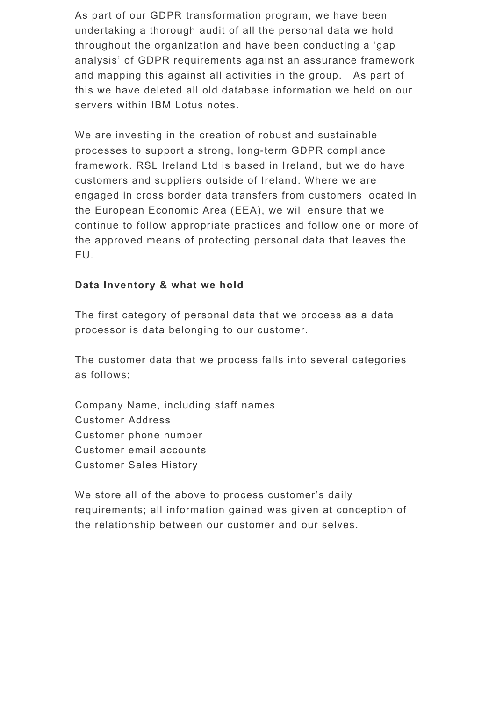As part of our GDPR transformation program, we have been undertaking a thorough audit of all the personal data we hold throughout the organization and have been conducting a 'gap analysis' of GDPR requirements against an assurance framework and mapping this against all activities in the group. As part of this we have deleted all old database information we held on our servers within IBM Lotus notes.

We are investing in the creation of robust and sustainable processes to support a strong, long-term GDPR compliance framework. RSL Ireland Ltd is based in Ireland, but we do have customers and suppliers outside of Ireland. Where we are engaged in cross border data transfers from customers located in the European Economic Area (EEA), we will ensure that we continue to follow appropriate practices and follow one or more of the approved means of protecting personal data that leaves the EU.

## **Data Inventory & what we hold**

The first category of personal data that we process as a data processor is data belonging to our customer.

The customer data that we process falls into several categories as follows;

Company Name, including staff names Customer Address Customer phone number Customer email accounts Customer Sales History

We store all of the above to process customer's daily requirements; all information gained was given at conception of the relationship between our customer and our selves.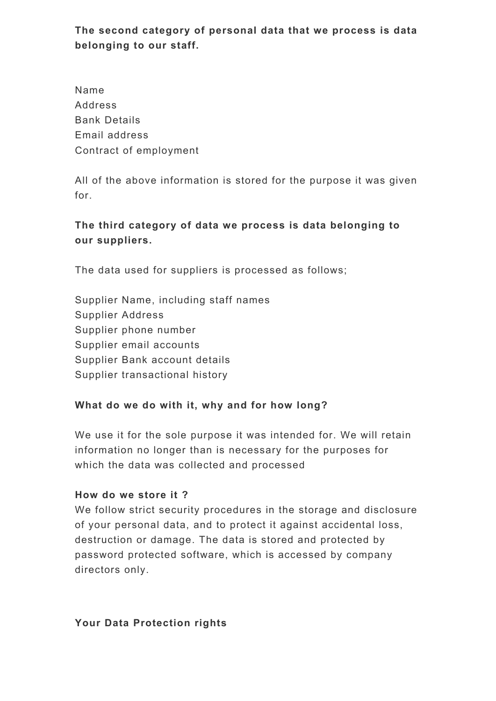**The second category of personal data that we process is data belonging to our staff.** 

Name Address Bank Details Email address Contract of employment

All of the above information is stored for the purpose it was given for.

# **The third category of data we process is data belonging to our suppliers.**

The data used for suppliers is processed as follows;

Supplier Name, including staff names Supplier Address Supplier phone number Supplier email accounts Supplier Bank account details Supplier transactional history

## **What do we do with it, why and for how long?**

We use it for the sole purpose it was intended for. We will retain information no longer than is necessary for the purposes for which the data was collected and processed

## **How do we store it ?**

We follow strict security procedures in the storage and disclosure of your personal data, and to protect it against accidental loss, destruction or damage. The data is stored and protected by password protected software, which is accessed by company directors only.

## **Your Data Protection rights**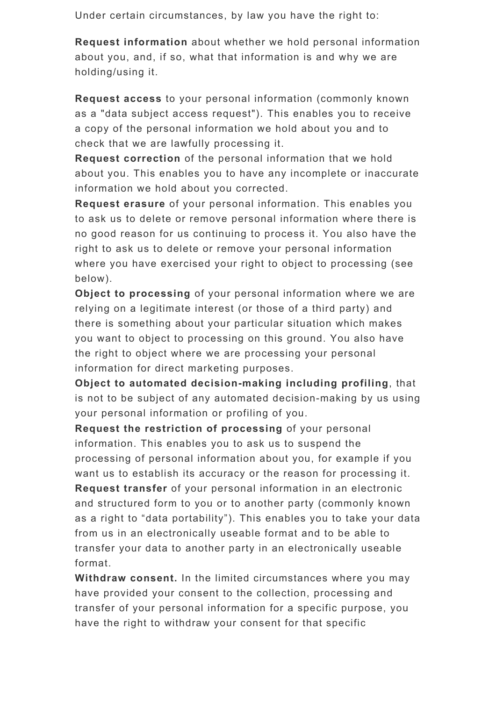Under certain circumstances, by law you have the right to:

**Request information** about whether we hold personal information about you, and, if so, what that information is and why we are holding/using it.

**Request access** to your personal information (commonly known as a "data subject access request"). This enables you to receive a copy of the personal information we hold about you and to check that we are lawfully processing it.

**Request correction** of the personal information that we hold about you. This enables you to have any incomplete or inaccurate information we hold about you corrected.

**Request erasure** of your personal information. This enables you to ask us to delete or remove personal information where there is no good reason for us continuing to process it. You also have the right to ask us to delete or remove your personal information where you have exercised your right to object to processing (see below).

**Object to processing** of your personal information where we are relying on a legitimate interest (or those of a third party) and there is something about your particular situation which makes you want to object to processing on this ground. You also have the right to object where we are processing your personal information for direct marketing purposes.

**Object to automated decision-making including profiling**, that is not to be subject of any automated decision-making by us using your personal information or profiling of you.

**Request the restriction of processing** of your personal information. This enables you to ask us to suspend the processing of personal information about you, for example if you want us to establish its accuracy or the reason for processing it. **Request transfer** of your personal information in an electronic and structured form to you or to another party (commonly known as a right to "data portability"). This enables you to take your data from us in an electronically useable format and to be able to transfer your data to another party in an electronically useable format.

**Withdraw consent.** In the limited circumstances where you may have provided your consent to the collection, processing and transfer of your personal information for a specific purpose, you have the right to withdraw your consent for that specific